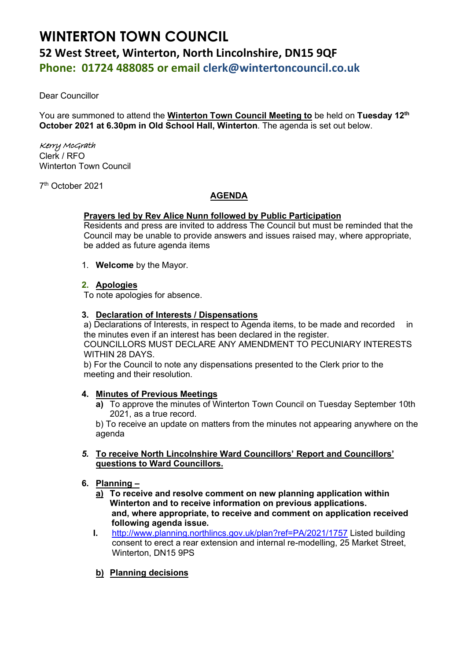# **WINTERTON TOWN COUNCIL 52 West Street, Winterton, North Lincolnshire, DN15 9QF Phone: 01724 488085 or email clerk@wintertoncouncil.co.uk**

Dear Councillor

You are summoned to attend the **Winterton Town Council Meeting to** be held on **Tuesday 12th October 2021 at 6.30pm in Old School Hall, Winterton**. The agenda is set out below.

## Kerry McGrath

Clerk / RFO Winterton Town Council

7 th October 2021

## **AGENDA**

## **Prayers led by Rev Alice Nunn followed by Public Participation**

Residents and press are invited to address The Council but must be reminded that the Council may be unable to provide answers and issues raised may, where appropriate, be added as future agenda items

1. **Welcome** by the Mayor.

## **2. Apologies**

To note apologies for absence.

#### **3. Declaration of Interests / Dispensations**

a) Declarations of Interests, in respect to Agenda items, to be made and recorded in the minutes even if an interest has been declared in the register. COUNCILLORS MUST DECLARE ANY AMENDMENT TO PECUNIARY INTERESTS WITHIN 28 DAYS.

b) For the Council to note any dispensations presented to the Clerk prior to the meeting and their resolution.

## **4. Minutes of Previous Meetings**

**a)** To approve the minutes of Winterton Town Council on Tuesday September 10th 2021, as a true record.

b) To receive an update on matters from the minutes not appearing anywhere on the agenda

- *5.* **To receive North Lincolnshire Ward Councillors' Report and Councillors' questions to Ward Councillors.**
- **6. Planning –**
	- **a) To receive and resolve comment on new planning application within Winterton and to receive information on previous applications. and, where appropriate, to receive and comment on application received following agenda issue.**
	- **I.** [http://www.planning.northlincs.gov.uk/plan?ref=PA/2021/1757](https://gbr01.safelinks.protection.outlook.com/?url=http%3A%2F%2Fwww.planning.northlincs.gov.uk%2Fplan%3Fref%3DPA%2F2021%2F1757&data=04%7C01%7Crfo%40wintertoncouncil.co.uk%7Ce2f4f82f841b426e1cc308d988a3fb9d%7C1901833ec75843e2a83efb7032ea34cb%7C0%7C0%7C637691060140670178%7CUnknown%7CTWFpbGZsb3d8eyJWIjoiMC4wLjAwMDAiLCJQIjoiV2luMzIiLCJBTiI6Ik1haWwiLCJXVCI6Mn0%3D%7C1000&sdata=Lse%2FgErhNz%2BvZUy2CaYcJarV5N9rSmphuGUPZJLgb%2F8%3D&reserved=0) Listed building consent to erect a rear extension and internal re-modelling, 25 Market Street, Winterton, DN15 9PS
	- **b) Planning decisions**